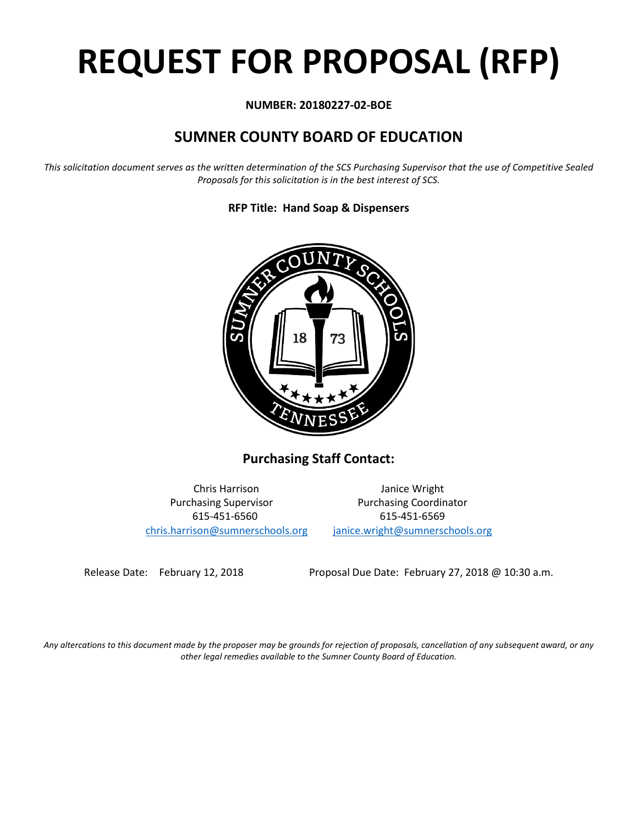# **REQUEST FOR PROPOSAL (RFP)**

#### **NUMBER: 20180227-02-BOE**

## **SUMNER COUNTY BOARD OF EDUCATION**

*This solicitation document serves as the written determination of the SCS Purchasing Supervisor that the use of Competitive Sealed Proposals for this solicitation is in the best interest of SCS.*

**RFP Title: Hand Soap & Dispensers**



**Purchasing Staff Contact:**

[chris.harrison@sumnerschools.org](mailto:chris.harrison@sumnerschools.org) [janice.wright@sumnerschools.org](mailto:janice.wright@sumnerschools.org)

Chris Harrison Janice Wright Purchasing Supervisor **Purchasing Coordinator** 615-451-6560 615-451-6569

Release Date: February 12, 2018 Proposal Due Date: February 27, 2018 @ 10:30 a.m.

*Any altercations to this document made by the proposer may be grounds for rejection of proposals, cancellation of any subsequent award, or any other legal remedies available to the Sumner County Board of Education.*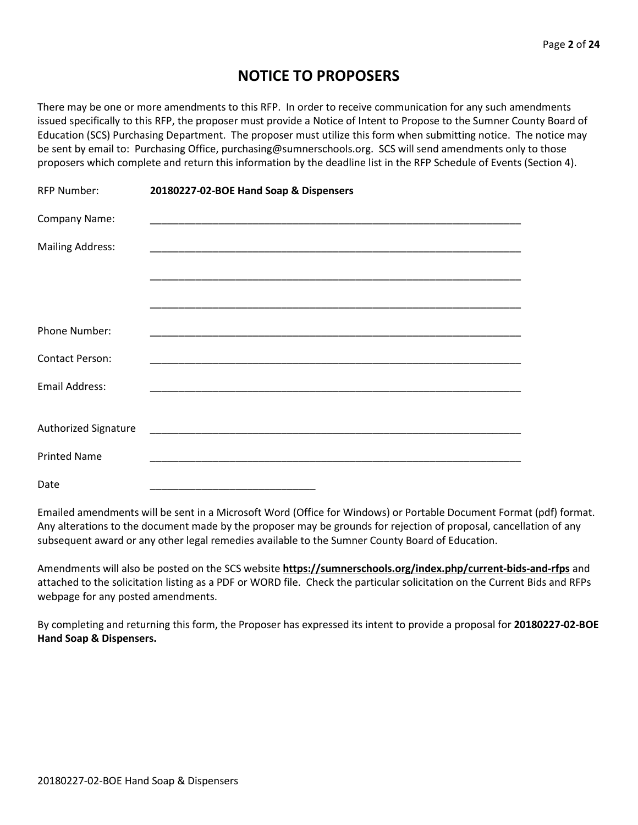## **NOTICE TO PROPOSERS**

There may be one or more amendments to this RFP. In order to receive communication for any such amendments issued specifically to this RFP, the proposer must provide a Notice of Intent to Propose to the Sumner County Board of Education (SCS) Purchasing Department. The proposer must utilize this form when submitting notice. The notice may be sent by email to: Purchasing Office, purchasing@sumnerschools.org. SCS will send amendments only to those proposers which complete and return this information by the deadline list in the RFP Schedule of Events (Section 4).

| <b>RFP Number:</b>          | 20180227-02-BOE Hand Soap & Dispensers |  |
|-----------------------------|----------------------------------------|--|
| Company Name:               |                                        |  |
| <b>Mailing Address:</b>     |                                        |  |
|                             |                                        |  |
|                             |                                        |  |
| Phone Number:               |                                        |  |
| <b>Contact Person:</b>      |                                        |  |
| <b>Email Address:</b>       |                                        |  |
|                             |                                        |  |
| <b>Authorized Signature</b> |                                        |  |
| <b>Printed Name</b>         |                                        |  |
| Date                        |                                        |  |

Emailed amendments will be sent in a Microsoft Word (Office for Windows) or Portable Document Format (pdf) format. Any alterations to the document made by the proposer may be grounds for rejection of proposal, cancellation of any subsequent award or any other legal remedies available to the Sumner County Board of Education.

Amendments will also be posted on the SCS website **https://sumnerschools.org/index.php/current-bids-and-rfps** and attached to the solicitation listing as a PDF or WORD file. Check the particular solicitation on the Current Bids and RFPs webpage for any posted amendments.

By completing and returning this form, the Proposer has expressed its intent to provide a proposal for **20180227-02-BOE Hand Soap & Dispensers.**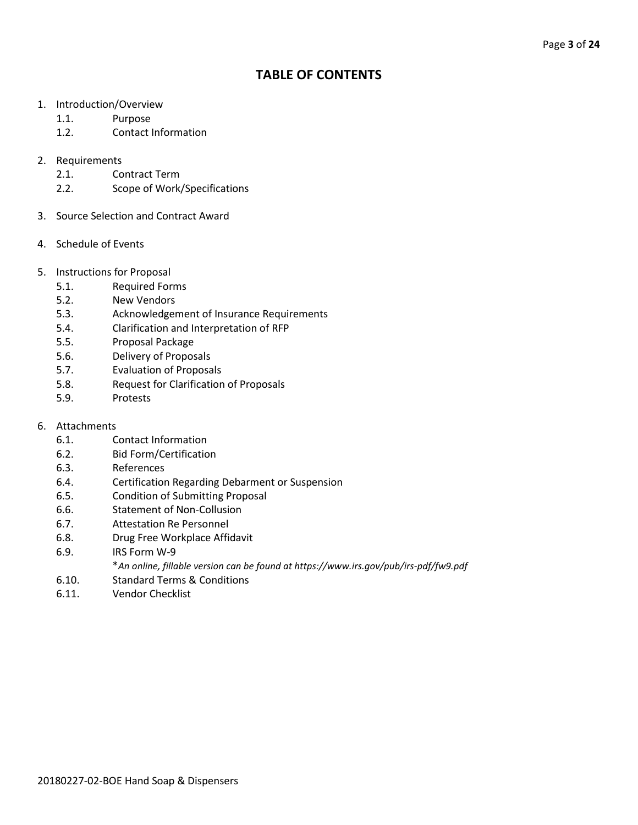### **TABLE OF CONTENTS**

- 1. Introduction/Overview
	- 1.1. Purpose
	- 1.2. Contact Information

#### 2. Requirements

- 2.1. Contract Term
- 2.2. Scope of Work/Specifications
- 3. Source Selection and Contract Award
- 4. Schedule of Events
- 5. Instructions for Proposal
	- 5.1. Required Forms
	- 5.2. New Vendors
	- 5.3. Acknowledgement of Insurance Requirements
	- 5.4. Clarification and Interpretation of RFP
	- 5.5. Proposal Package
	- 5.6. Delivery of Proposals
	- 5.7. Evaluation of Proposals
	- 5.8. Request for Clarification of Proposals
	- 5.9. Protests
- 6. Attachments
	- 6.1. Contact Information
	- 6.2. Bid Form/Certification
	- 6.3. References
	- 6.4. Certification Regarding Debarment or Suspension
	- 6.5. Condition of Submitting Proposal
	- 6.6. Statement of Non-Collusion
	- 6.7. Attestation Re Personnel
	- 6.8. Drug Free Workplace Affidavit
	- 6.9. IRS Form W-9
		- \**An online, fillable version can be found at https://www.irs.gov/pub/irs-pdf/fw9.pdf*
	- 6.10. Standard Terms & Conditions
	- 6.11. Vendor Checklist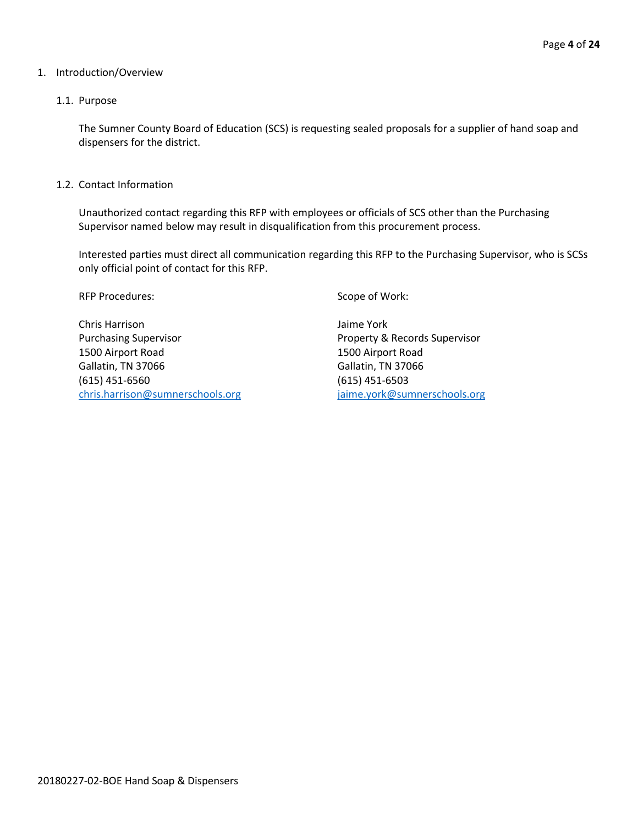#### 1. Introduction/Overview

#### 1.1. Purpose

The Sumner County Board of Education (SCS) is requesting sealed proposals for a supplier of hand soap and dispensers for the district.

1.2. Contact Information

Unauthorized contact regarding this RFP with employees or officials of SCS other than the Purchasing Supervisor named below may result in disqualification from this procurement process.

Interested parties must direct all communication regarding this RFP to the Purchasing Supervisor, who is SCSs only official point of contact for this RFP.

RFP Procedures: Scope of Work:

Chris Harrison Jaime York Purchasing Supervisor Property & Records Supervisor 1500 Airport Road 1500 Airport Road Gallatin, TN 37066 Gallatin, TN 37066 (615) 451-6560 (615) 451-6503 [chris.harrison@sumnerschools.org](mailto:chris.harrison@sumnerschools.org) [jaime.york@sumnerschools.org](mailto:jaime.york@sumnerschools.org)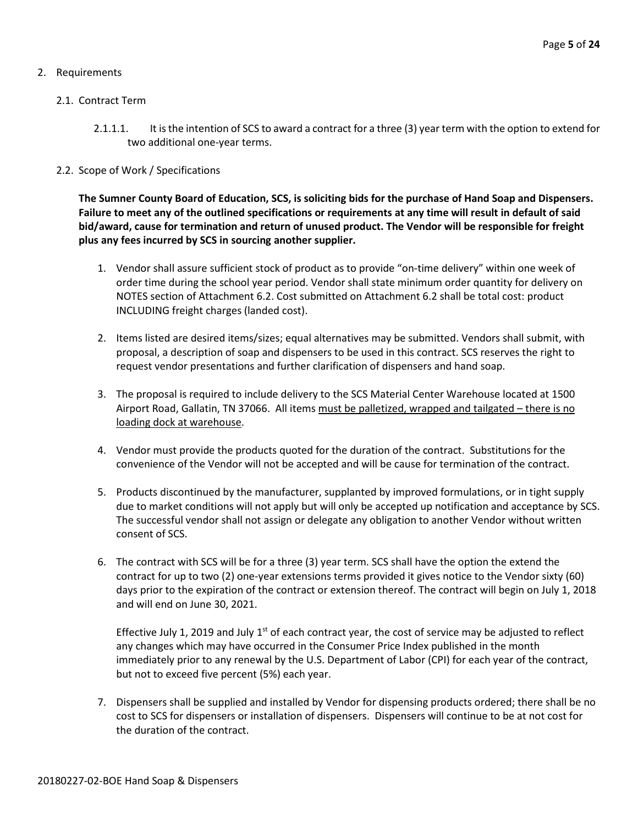#### 2. Requirements

#### 2.1. Contract Term

- 2.1.1.1. It is the intention of SCS to award a contract for a three (3) year term with the option to extend for two additional one-year terms.
- 2.2. Scope of Work / Specifications

**The Sumner County Board of Education, SCS, is soliciting bids for the purchase of Hand Soap and Dispensers. Failure to meet any of the outlined specifications or requirements at any time will result in default of said bid/award, cause for termination and return of unused product. The Vendor will be responsible for freight plus any fees incurred by SCS in sourcing another supplier.**

- 1. Vendor shall assure sufficient stock of product as to provide "on-time delivery" within one week of order time during the school year period. Vendor shall state minimum order quantity for delivery on NOTES section of Attachment 6.2. Cost submitted on Attachment 6.2 shall be total cost: product INCLUDING freight charges (landed cost).
- 2. Items listed are desired items/sizes; equal alternatives may be submitted. Vendors shall submit, with proposal, a description of soap and dispensers to be used in this contract. SCS reserves the right to request vendor presentations and further clarification of dispensers and hand soap.
- 3. The proposal is required to include delivery to the SCS Material Center Warehouse located at 1500 Airport Road, Gallatin, TN 37066. All items must be palletized, wrapped and tailgated – there is no loading dock at warehouse.
- 4. Vendor must provide the products quoted for the duration of the contract. Substitutions for the convenience of the Vendor will not be accepted and will be cause for termination of the contract.
- 5. Products discontinued by the manufacturer, supplanted by improved formulations, or in tight supply due to market conditions will not apply but will only be accepted up notification and acceptance by SCS. The successful vendor shall not assign or delegate any obligation to another Vendor without written consent of SCS.
- 6. The contract with SCS will be for a three (3) year term. SCS shall have the option the extend the contract for up to two (2) one-year extensions terms provided it gives notice to the Vendor sixty (60) days prior to the expiration of the contract or extension thereof. The contract will begin on July 1, 2018 and will end on June 30, 2021.

Effective July 1, 2019 and July  $1<sup>st</sup>$  of each contract year, the cost of service may be adjusted to reflect any changes which may have occurred in the Consumer Price Index published in the month immediately prior to any renewal by the U.S. Department of Labor (CPI) for each year of the contract, but not to exceed five percent (5%) each year.

7. Dispensers shall be supplied and installed by Vendor for dispensing products ordered; there shall be no cost to SCS for dispensers or installation of dispensers. Dispensers will continue to be at not cost for the duration of the contract.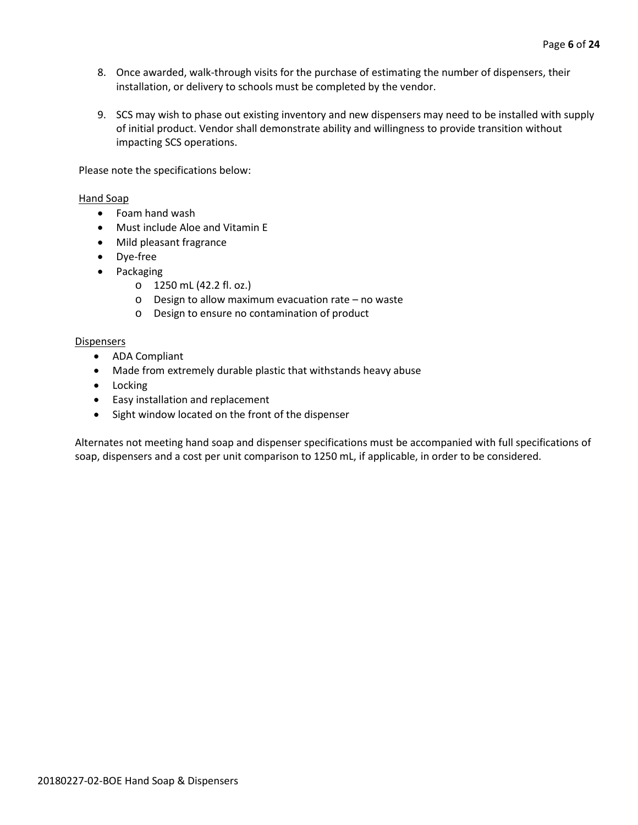- 8. Once awarded, walk-through visits for the purchase of estimating the number of dispensers, their installation, or delivery to schools must be completed by the vendor.
- 9. SCS may wish to phase out existing inventory and new dispensers may need to be installed with supply of initial product. Vendor shall demonstrate ability and willingness to provide transition without impacting SCS operations.

Please note the specifications below:

#### Hand Soap

- Foam hand wash
- Must include Aloe and Vitamin E
- Mild pleasant fragrance
- Dye-free
- Packaging
	- o 1250 mL (42.2 fl. oz.)
	- o Design to allow maximum evacuation rate no waste
	- o Design to ensure no contamination of product

#### Dispensers

- ADA Compliant
- Made from extremely durable plastic that withstands heavy abuse
- Locking
- Easy installation and replacement
- Sight window located on the front of the dispenser

Alternates not meeting hand soap and dispenser specifications must be accompanied with full specifications of soap, dispensers and a cost per unit comparison to 1250 mL, if applicable, in order to be considered.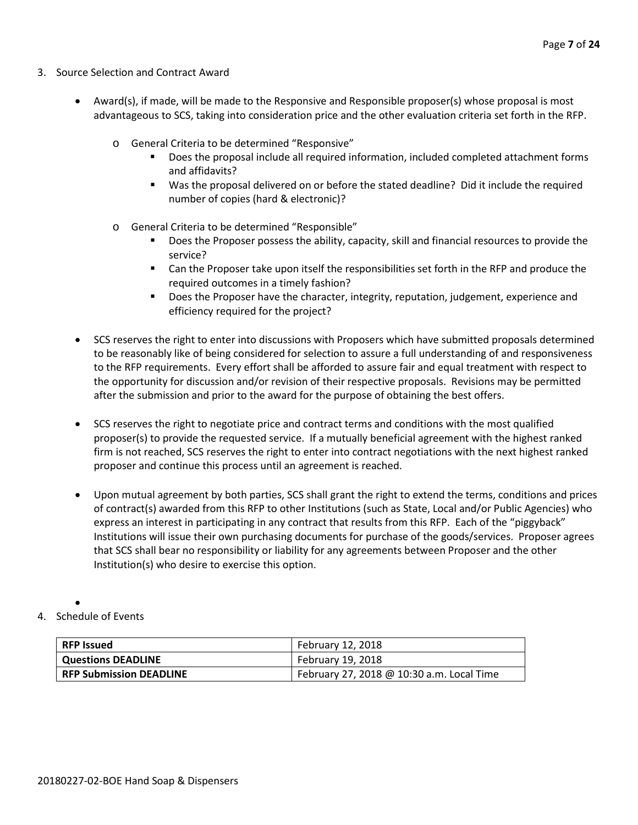- 3. Source Selection and Contract Award
	- Award(s), if made, will be made to the Responsive and Responsible proposer(s) whose proposal is most advantageous to SCS, taking into consideration price and the other evaluation criteria set forth in the RFP.
		- o General Criteria to be determined "Responsive"
			- Does the proposal include all required information, included completed attachment forms and affidavits?
			- Was the proposal delivered on or before the stated deadline? Did it include the required number of copies (hard & electronic)?
		- o General Criteria to be determined "Responsible"
			- Does the Proposer possess the ability, capacity, skill and financial resources to provide the service?
			- Can the Proposer take upon itself the responsibilities set forth in the RFP and produce the required outcomes in a timely fashion?
			- **Does the Proposer have the character, integrity, reputation, judgement, experience and** efficiency required for the project?
	- SCS reserves the right to enter into discussions with Proposers which have submitted proposals determined to be reasonably like of being considered for selection to assure a full understanding of and responsiveness to the RFP requirements. Every effort shall be afforded to assure fair and equal treatment with respect to the opportunity for discussion and/or revision of their respective proposals. Revisions may be permitted after the submission and prior to the award for the purpose of obtaining the best offers.
	- SCS reserves the right to negotiate price and contract terms and conditions with the most qualified proposer(s) to provide the requested service. If a mutually beneficial agreement with the highest ranked firm is not reached, SCS reserves the right to enter into contract negotiations with the next highest ranked proposer and continue this process until an agreement is reached.
	- Upon mutual agreement by both parties, SCS shall grant the right to extend the terms, conditions and prices of contract(s) awarded from this RFP to other Institutions (such as State, Local and/or Public Agencies) who express an interest in participating in any contract that results from this RFP. Each of the "piggyback" Institutions will issue their own purchasing documents for purchase of the goods/services. Proposer agrees that SCS shall bear no responsibility or liability for any agreements between Proposer and the other Institution(s) who desire to exercise this option.
- 4. Schedule of Events

•

| <b>RFP Issued</b>              | February 12, 2018                         |
|--------------------------------|-------------------------------------------|
| <b>Questions DEADLINE</b>      | February 19, 2018                         |
| <b>RFP Submission DEADLINE</b> | February 27, 2018 @ 10:30 a.m. Local Time |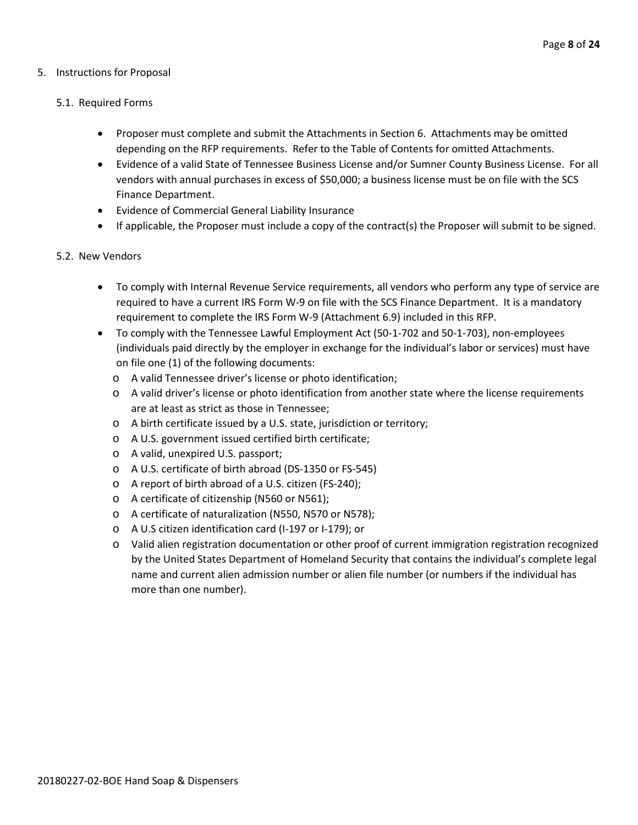#### 5. Instructions for Proposal

#### 5.1. Required Forms

- Proposer must complete and submit the Attachments in Section 6. Attachments may be omitted depending on the RFP requirements. Refer to the Table of Contents for omitted Attachments.
- Evidence of a valid State of Tennessee Business License and/or Sumner County Business License. For all vendors with annual purchases in excess of \$50,000; a business license must be on file with the SCS Finance Department.
- Evidence of Commercial General Liability Insurance
- If applicable, the Proposer must include a copy of the contract(s) the Proposer will submit to be signed.

#### 5.2. New Vendors

- To comply with Internal Revenue Service requirements, all vendors who perform any type of service are required to have a current IRS Form W-9 on file with the SCS Finance Department. It is a mandatory requirement to complete the IRS Form W-9 (Attachment 6.9) included in this RFP.
- To comply with the Tennessee Lawful Employment Act (50-1-702 and 50-1-703), non-employees (individuals paid directly by the employer in exchange for the individual's labor or services) must have on file one (1) of the following documents:
	- o A valid Tennessee driver's license or photo identification;
	- o A valid driver's license or photo identification from another state where the license requirements are at least as strict as those in Tennessee;
	- o A birth certificate issued by a U.S. state, jurisdiction or territory;
	- o A U.S. government issued certified birth certificate;
	- o A valid, unexpired U.S. passport;
	- o A U.S. certificate of birth abroad (DS-1350 or FS-545)
	- o A report of birth abroad of a U.S. citizen (FS-240);
	- o A certificate of citizenship (N560 or N561);
	- o A certificate of naturalization (N550, N570 or N578);
	- o A U.S citizen identification card (I-197 or I-179); or
	- o Valid alien registration documentation or other proof of current immigration registration recognized by the United States Department of Homeland Security that contains the individual's complete legal name and current alien admission number or alien file number (or numbers if the individual has more than one number).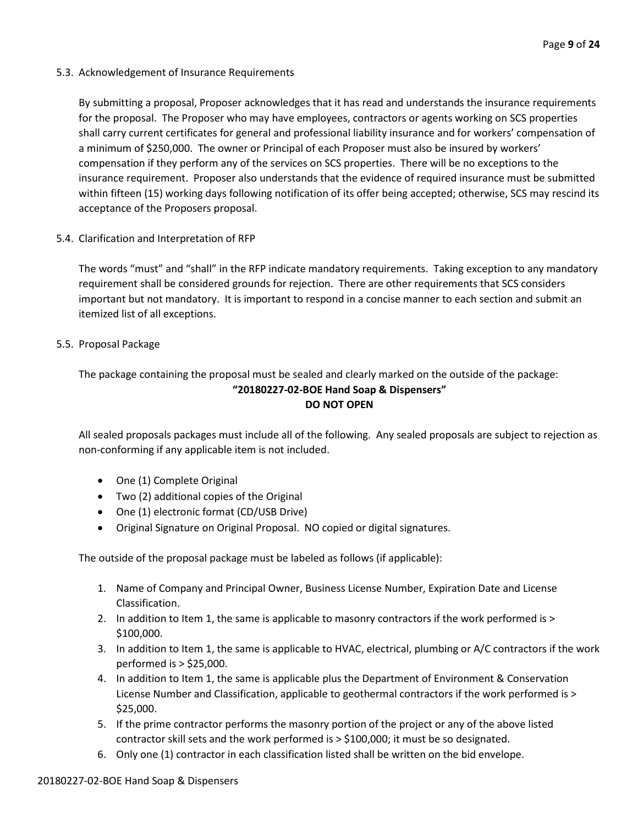5.3. Acknowledgement of Insurance Requirements

By submitting a proposal, Proposer acknowledges that it has read and understands the insurance requirements for the proposal. The Proposer who may have employees, contractors or agents working on SCS properties shall carry current certificates for general and professional liability insurance and for workers' compensation of a minimum of \$250,000. The owner or Principal of each Proposer must also be insured by workers' compensation if they perform any of the services on SCS properties. There will be no exceptions to the insurance requirement. Proposer also understands that the evidence of required insurance must be submitted within fifteen (15) working days following notification of its offer being accepted; otherwise, SCS may rescind its acceptance of the Proposers proposal.

5.4. Clarification and Interpretation of RFP

The words "must" and "shall" in the RFP indicate mandatory requirements. Taking exception to any mandatory requirement shall be considered grounds for rejection. There are other requirements that SCS considers important but not mandatory. It is important to respond in a concise manner to each section and submit an itemized list of all exceptions.

5.5. Proposal Package

The package containing the proposal must be sealed and clearly marked on the outside of the package: **"20180227-02-BOE Hand Soap & Dispensers" DO NOT OPEN**

All sealed proposals packages must include all of the following. Any sealed proposals are subject to rejection as non-conforming if any applicable item is not included.

- One (1) Complete Original
- Two (2) additional copies of the Original
- One (1) electronic format (CD/USB Drive)
- Original Signature on Original Proposal. NO copied or digital signatures.

The outside of the proposal package must be labeled as follows (if applicable):

- 1. Name of Company and Principal Owner, Business License Number, Expiration Date and License Classification.
- 2. In addition to Item 1, the same is applicable to masonry contractors if the work performed is > \$100,000.
- 3. In addition to Item 1, the same is applicable to HVAC, electrical, plumbing or A/C contractors if the work performed is > \$25,000.
- 4. In addition to Item 1, the same is applicable plus the Department of Environment & Conservation License Number and Classification, applicable to geothermal contractors if the work performed is > \$25,000.
- 5. If the prime contractor performs the masonry portion of the project or any of the above listed contractor skill sets and the work performed is > \$100,000; it must be so designated.
- 6. Only one (1) contractor in each classification listed shall be written on the bid envelope.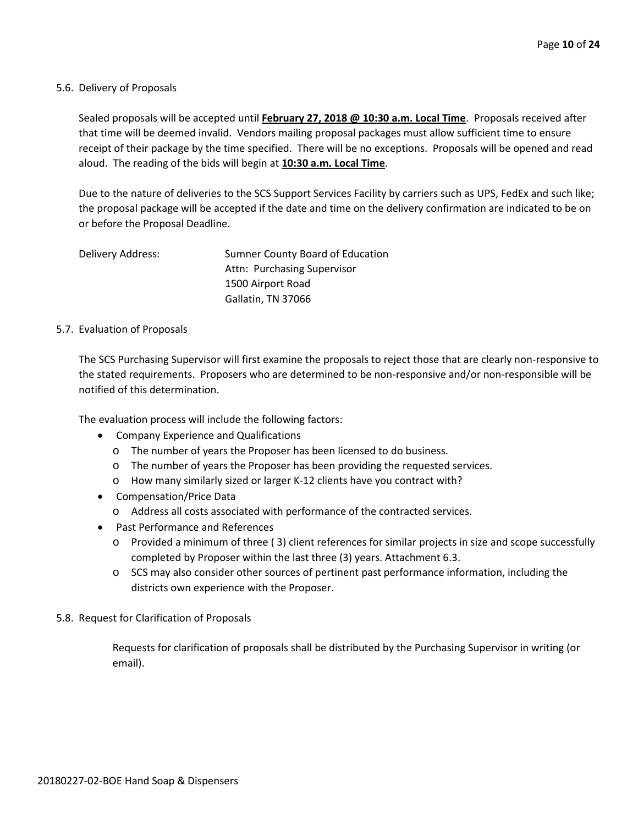#### 5.6. Delivery of Proposals

Sealed proposals will be accepted until **February 27, 2018 @ 10:30 a.m. Local Time**. Proposals received after that time will be deemed invalid. Vendors mailing proposal packages must allow sufficient time to ensure receipt of their package by the time specified. There will be no exceptions. Proposals will be opened and read aloud. The reading of the bids will begin at **10:30 a.m. Local Time**.

Due to the nature of deliveries to the SCS Support Services Facility by carriers such as UPS, FedEx and such like; the proposal package will be accepted if the date and time on the delivery confirmation are indicated to be on or before the Proposal Deadline.

Delivery Address: Sumner County Board of Education Attn: Purchasing Supervisor 1500 Airport Road Gallatin, TN 37066

#### 5.7. Evaluation of Proposals

The SCS Purchasing Supervisor will first examine the proposals to reject those that are clearly non-responsive to the stated requirements. Proposers who are determined to be non-responsive and/or non-responsible will be notified of this determination.

The evaluation process will include the following factors:

- Company Experience and Qualifications
	- o The number of years the Proposer has been licensed to do business.
	- o The number of years the Proposer has been providing the requested services.
	- o How many similarly sized or larger K-12 clients have you contract with?
- Compensation/Price Data
	- o Address all costs associated with performance of the contracted services.
- Past Performance and References
	- o Provided a minimum of three ( 3) client references for similar projects in size and scope successfully completed by Proposer within the last three (3) years. Attachment 6.3.
	- o SCS may also consider other sources of pertinent past performance information, including the districts own experience with the Proposer.
- 5.8. Request for Clarification of Proposals

Requests for clarification of proposals shall be distributed by the Purchasing Supervisor in writing (or email).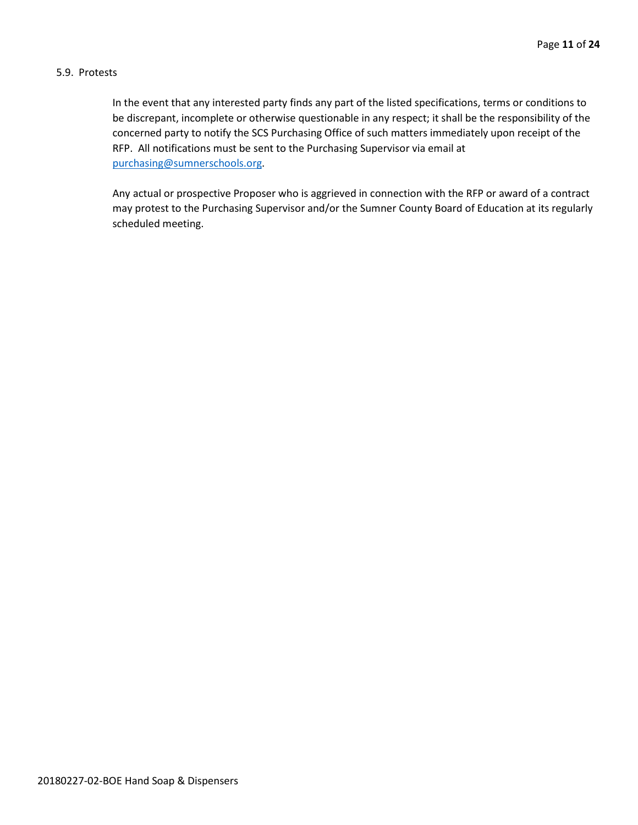#### 5.9. Protests

In the event that any interested party finds any part of the listed specifications, terms or conditions to be discrepant, incomplete or otherwise questionable in any respect; it shall be the responsibility of the concerned party to notify the SCS Purchasing Office of such matters immediately upon receipt of the RFP. All notifications must be sent to the Purchasing Supervisor via email at [purchasing@sumnerschools.org.](mailto:purchasing@sumnerschools.org)

Any actual or prospective Proposer who is aggrieved in connection with the RFP or award of a contract may protest to the Purchasing Supervisor and/or the Sumner County Board of Education at its regularly scheduled meeting.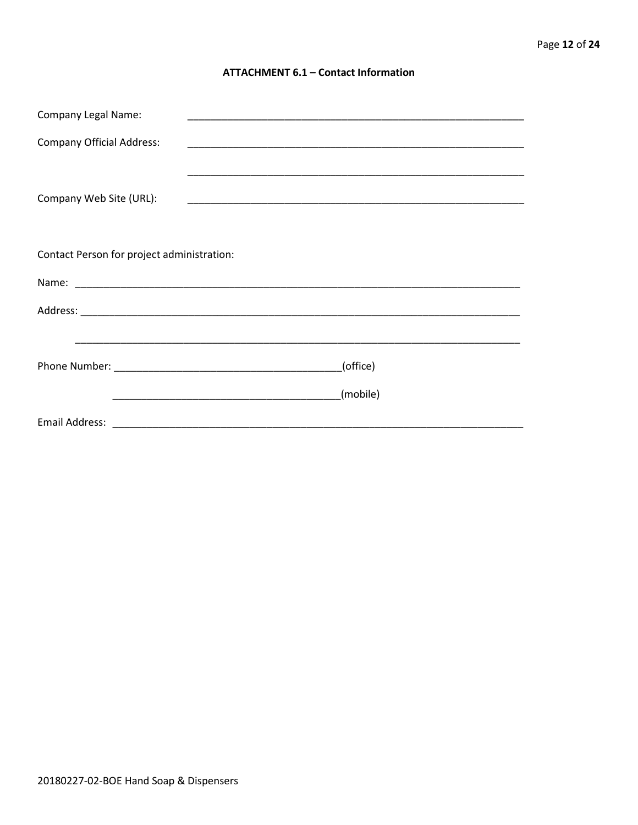#### **ATTACHMENT 6.1 - Contact Information**

| <b>Company Legal Name:</b>                 |          |
|--------------------------------------------|----------|
| <b>Company Official Address:</b>           |          |
|                                            |          |
| Company Web Site (URL):                    |          |
|                                            |          |
| Contact Person for project administration: |          |
|                                            |          |
|                                            |          |
|                                            |          |
|                                            | (office) |
|                                            | (mobile) |
|                                            |          |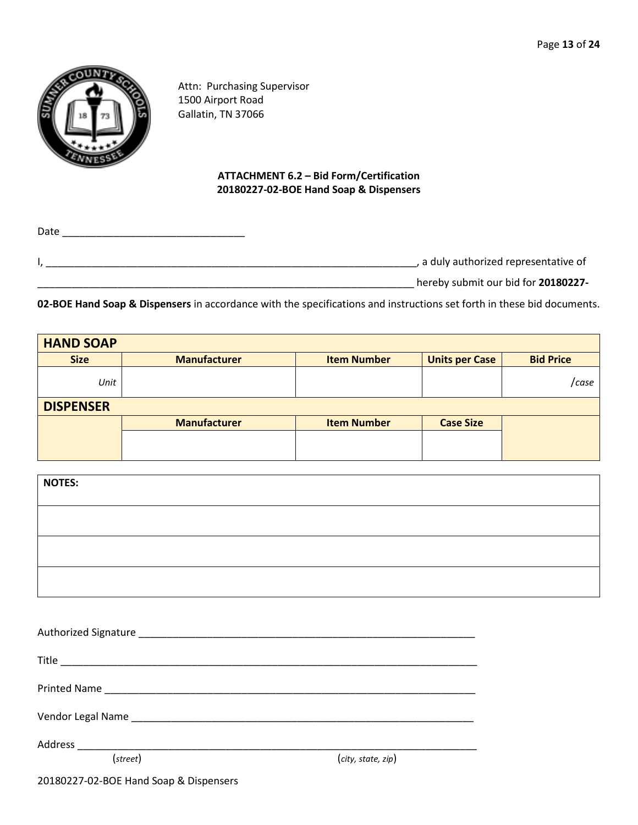

Attn: Purchasing Supervisor 1500 Airport Road Gallatin, TN 37066

#### **ATTACHMENT 6.2 – Bid Form/Certification 20180227-02-BOE Hand Soap & Dispensers**

| Date |                                       |
|------|---------------------------------------|
|      | , a duly authorized representative of |
|      | hereby submit our bid for 20180227-   |

**02-BOE Hand Soap & Dispensers** in accordance with the specifications and instructions set forth in these bid documents.

| <b>HAND SOAP</b> |                     |                    |                       |                  |
|------------------|---------------------|--------------------|-----------------------|------------------|
| <b>Size</b>      | <b>Manufacturer</b> | <b>Item Number</b> | <b>Units per Case</b> | <b>Bid Price</b> |
| Unit             |                     |                    |                       | /case            |
| <b>DISPENSER</b> |                     |                    |                       |                  |
|                  | <b>Manufacturer</b> | <b>Item Number</b> | <b>Case Size</b>      |                  |
|                  |                     |                    |                       |                  |
|                  |                     |                    |                       |                  |

| <b>NOTES:</b> |  |  |
|---------------|--|--|
|               |  |  |
|               |  |  |
|               |  |  |
|               |  |  |

| (street)                               | (city, state, zip) |  |
|----------------------------------------|--------------------|--|
| 20180227-02-BOE Hand Soap & Dispensers |                    |  |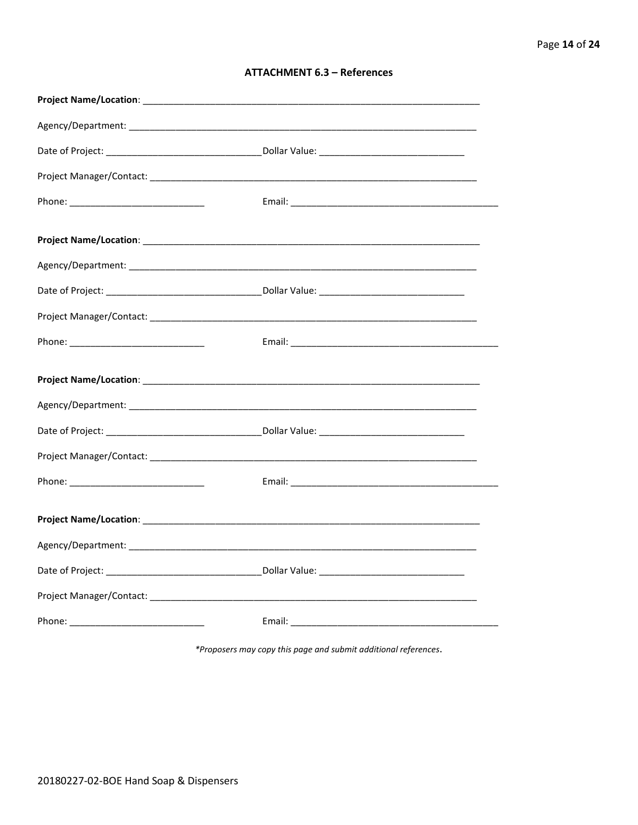| <b>ATTACHMENT 6.3 - References</b> |  |  |
|------------------------------------|--|--|
|------------------------------------|--|--|

\*Proposers may copy this page and submit additional references.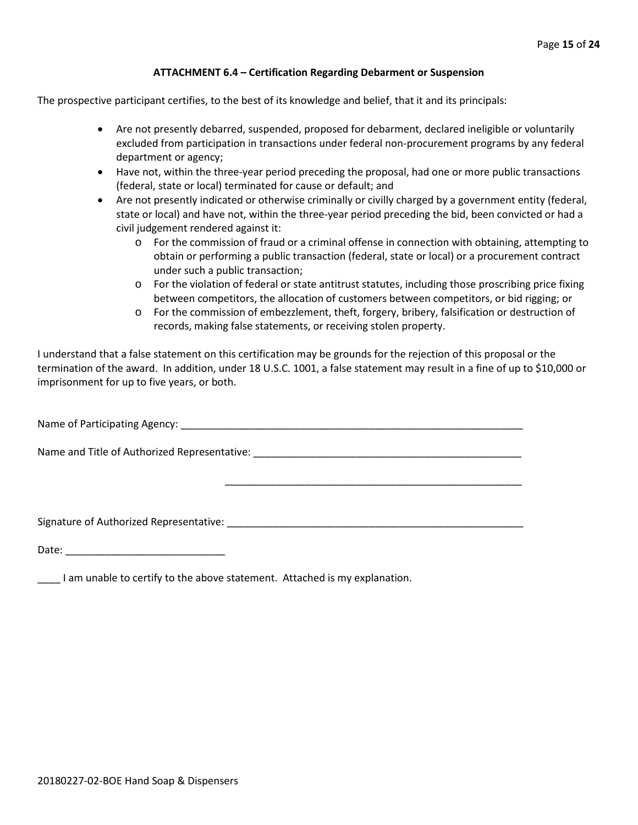#### **ATTACHMENT 6.4 – Certification Regarding Debarment or Suspension**

The prospective participant certifies, to the best of its knowledge and belief, that it and its principals:

- Are not presently debarred, suspended, proposed for debarment, declared ineligible or voluntarily excluded from participation in transactions under federal non-procurement programs by any federal department or agency;
- Have not, within the three-year period preceding the proposal, had one or more public transactions (federal, state or local) terminated for cause or default; and
- Are not presently indicated or otherwise criminally or civilly charged by a government entity (federal, state or local) and have not, within the three-year period preceding the bid, been convicted or had a civil judgement rendered against it:
	- $\circ$  For the commission of fraud or a criminal offense in connection with obtaining, attempting to obtain or performing a public transaction (federal, state or local) or a procurement contract under such a public transaction;
	- o For the violation of federal or state antitrust statutes, including those proscribing price fixing between competitors, the allocation of customers between competitors, or bid rigging; or
	- o For the commission of embezzlement, theft, forgery, bribery, falsification or destruction of records, making false statements, or receiving stolen property.

\_\_\_\_\_\_\_\_\_\_\_\_\_\_\_\_\_\_\_\_\_\_\_\_\_\_\_\_\_\_\_\_\_\_\_\_\_\_\_\_\_\_\_\_\_\_\_\_\_\_\_\_

I understand that a false statement on this certification may be grounds for the rejection of this proposal or the termination of the award. In addition, under 18 U.S.C. 1001, a false statement may result in a fine of up to \$10,000 or imprisonment for up to five years, or both.

Name of Participating Agency: \_\_\_\_\_\_\_\_\_\_\_\_\_\_\_\_\_\_\_\_\_\_\_\_\_\_\_\_\_\_\_\_\_\_\_\_\_\_\_\_\_\_\_\_\_\_\_\_\_\_\_\_\_\_\_\_\_\_\_\_

Name and Title of Authorized Representative: \_\_\_\_\_\_\_\_\_\_\_\_\_\_\_\_\_\_\_\_\_\_\_\_\_\_\_\_\_\_\_\_\_\_\_\_\_\_\_\_\_\_\_\_\_\_\_

Signature of Authorized Representative: \_\_\_\_\_\_\_\_\_\_\_\_\_\_\_\_\_\_\_\_\_\_\_\_\_\_\_\_\_\_\_\_\_\_\_\_\_\_\_\_\_\_\_\_\_\_\_\_\_\_\_\_

Date: \_\_\_\_\_\_\_\_\_\_\_\_\_\_\_\_\_\_\_\_\_\_\_\_\_\_\_\_

\_\_\_\_ I am unable to certify to the above statement. Attached is my explanation.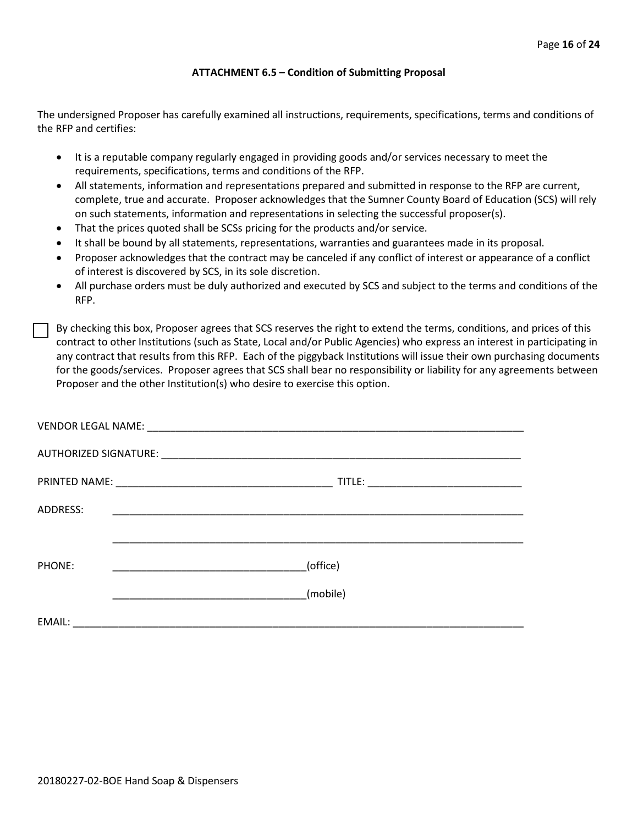#### **ATTACHMENT 6.5 – Condition of Submitting Proposal**

The undersigned Proposer has carefully examined all instructions, requirements, specifications, terms and conditions of the RFP and certifies:

- It is a reputable company regularly engaged in providing goods and/or services necessary to meet the requirements, specifications, terms and conditions of the RFP.
- All statements, information and representations prepared and submitted in response to the RFP are current, complete, true and accurate. Proposer acknowledges that the Sumner County Board of Education (SCS) will rely on such statements, information and representations in selecting the successful proposer(s).
- That the prices quoted shall be SCSs pricing for the products and/or service.
- It shall be bound by all statements, representations, warranties and guarantees made in its proposal.
- Proposer acknowledges that the contract may be canceled if any conflict of interest or appearance of a conflict of interest is discovered by SCS, in its sole discretion.
- All purchase orders must be duly authorized and executed by SCS and subject to the terms and conditions of the RFP.

By checking this box, Proposer agrees that SCS reserves the right to extend the terms, conditions, and prices of this contract to other Institutions (such as State, Local and/or Public Agencies) who express an interest in participating in any contract that results from this RFP. Each of the piggyback Institutions will issue their own purchasing documents for the goods/services. Proposer agrees that SCS shall bear no responsibility or liability for any agreements between Proposer and the other Institution(s) who desire to exercise this option.

| ADDRESS: |          |
|----------|----------|
|          |          |
| PHONE:   | (office) |
|          | (mobile) |
| EMAIL:   |          |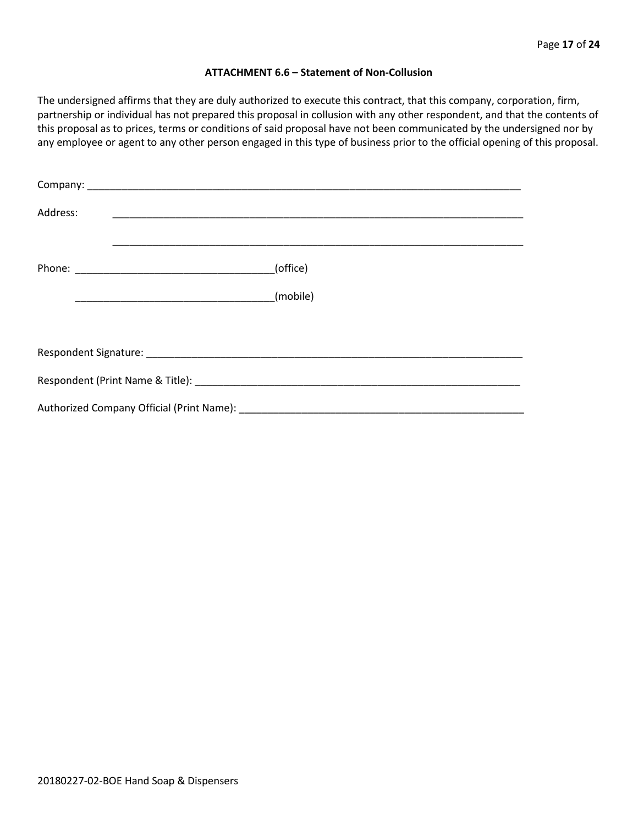#### **ATTACHMENT 6.6 – Statement of Non-Collusion**

The undersigned affirms that they are duly authorized to execute this contract, that this company, corporation, firm, partnership or individual has not prepared this proposal in collusion with any other respondent, and that the contents of this proposal as to prices, terms or conditions of said proposal have not been communicated by the undersigned nor by any employee or agent to any other person engaged in this type of business prior to the official opening of this proposal.

| Address: |          |
|----------|----------|
|          | (office) |
|          |          |
|          |          |
|          |          |
|          |          |
|          |          |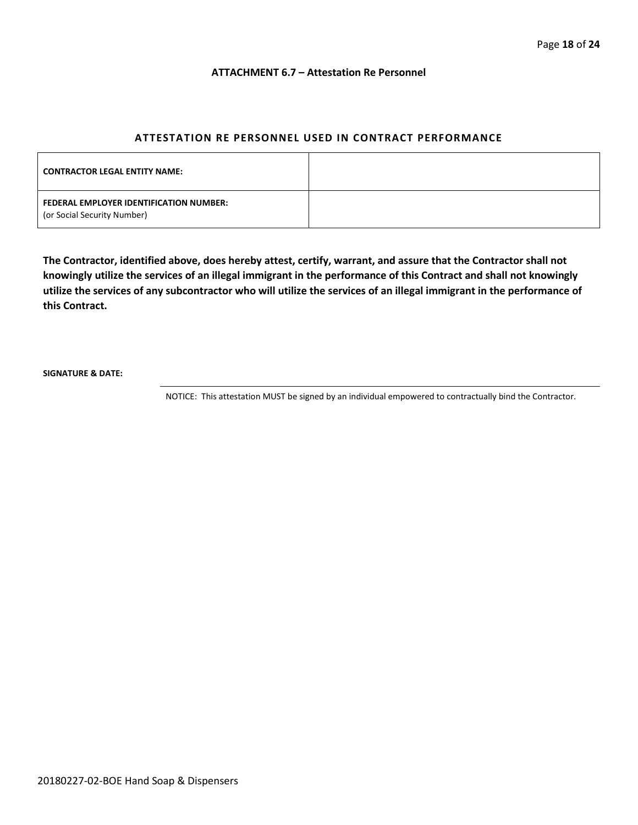#### **ATTACHMENT 6.7 – Attestation Re Personnel**

#### **ATTESTATION RE PERSONNEL USED IN CONTRACT PERFORMANCE**

| <b>CONTRACTOR LEGAL ENTITY NAME:</b>                                   |  |
|------------------------------------------------------------------------|--|
| FEDERAL EMPLOYER IDENTIFICATION NUMBER:<br>(or Social Security Number) |  |

**The Contractor, identified above, does hereby attest, certify, warrant, and assure that the Contractor shall not knowingly utilize the services of an illegal immigrant in the performance of this Contract and shall not knowingly utilize the services of any subcontractor who will utilize the services of an illegal immigrant in the performance of this Contract.**

**SIGNATURE & DATE:**

NOTICE: This attestation MUST be signed by an individual empowered to contractually bind the Contractor.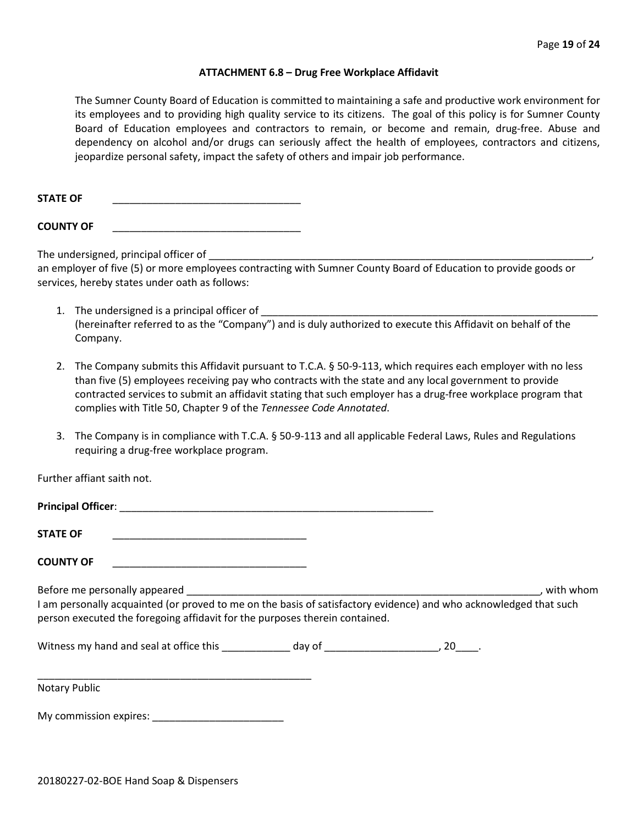#### **ATTACHMENT 6.8 – Drug Free Workplace Affidavit**

The Sumner County Board of Education is committed to maintaining a safe and productive work environment for its employees and to providing high quality service to its citizens. The goal of this policy is for Sumner County Board of Education employees and contractors to remain, or become and remain, drug-free. Abuse and dependency on alcohol and/or drugs can seriously affect the health of employees, contractors and citizens, jeopardize personal safety, impact the safety of others and impair job performance.

STATE OF

**COUNTY OF** \_\_\_\_\_\_\_\_\_\_\_\_\_\_\_\_\_\_\_\_\_\_\_\_\_\_\_\_\_\_\_\_\_

The undersigned, principal officer of

an employer of five (5) or more employees contracting with Sumner County Board of Education to provide goods or services, hereby states under oath as follows:

- 1. The undersigned is a principal officer of (hereinafter referred to as the "Company") and is duly authorized to execute this Affidavit on behalf of the Company.
- 2. The Company submits this Affidavit pursuant to T.C.A. § 50-9-113, which requires each employer with no less than five (5) employees receiving pay who contracts with the state and any local government to provide contracted services to submit an affidavit stating that such employer has a drug-free workplace program that complies with Title 50, Chapter 9 of the *Tennessee Code Annotated*.
- 3. The Company is in compliance with T.C.A. § 50-9-113 and all applicable Federal Laws, Rules and Regulations requiring a drug-free workplace program.

Further affiant saith not.

| <b>STATE OF</b>                                                                                                                                                                                                                   |  |           |
|-----------------------------------------------------------------------------------------------------------------------------------------------------------------------------------------------------------------------------------|--|-----------|
| <b>COUNTY OF</b>                                                                                                                                                                                                                  |  |           |
| Before me personally appeared<br>I am personally acquainted (or proved to me on the basis of satisfactory evidence) and who acknowledged that such<br>person executed the foregoing affidavit for the purposes therein contained. |  | with whom |
| Nitness my hand and seal at office this by the day of the case of the control of the control of the control of the control of the control of the control of the control of the control of the control of the control of the co    |  |           |
| <b>Notary Public</b>                                                                                                                                                                                                              |  |           |

My commission expires: \_\_\_\_\_\_\_\_\_\_\_\_\_\_\_\_\_\_\_\_\_\_\_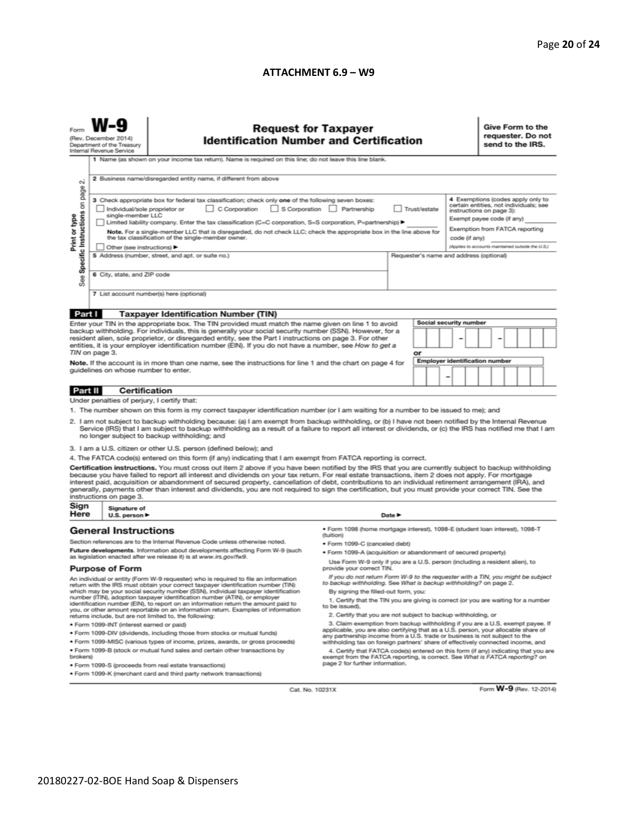#### **ATTACHMENT 6.9 – W9**

| (Rev. December 2014)<br><b>Identification Number and Certification</b><br>Department of the Treasury<br>Internal Revenue Service<br>1 Name (as shown on your income tax return). Name is required on this line; do not leave this line blank.<br>2 Business name/disregarded entity name, if different from above<br>N                                                                                                                                                                                                                                                                                                                                                                                                                                                                                                                                                                                                                                                                                                                                                                                                                                                                                                                                                                                                                                                                                                                                                                                                                                                                                                                                                                                                                                                                                                                                                                                                                             | requester. Do not<br>send to the IRS. |  |  |
|----------------------------------------------------------------------------------------------------------------------------------------------------------------------------------------------------------------------------------------------------------------------------------------------------------------------------------------------------------------------------------------------------------------------------------------------------------------------------------------------------------------------------------------------------------------------------------------------------------------------------------------------------------------------------------------------------------------------------------------------------------------------------------------------------------------------------------------------------------------------------------------------------------------------------------------------------------------------------------------------------------------------------------------------------------------------------------------------------------------------------------------------------------------------------------------------------------------------------------------------------------------------------------------------------------------------------------------------------------------------------------------------------------------------------------------------------------------------------------------------------------------------------------------------------------------------------------------------------------------------------------------------------------------------------------------------------------------------------------------------------------------------------------------------------------------------------------------------------------------------------------------------------------------------------------------------------|---------------------------------------|--|--|
| Specific Instructions on page<br>4 Exemptions (codes apply only to<br>3 Check appropriate box for federal tax classification; check only one of the following seven boxes:<br>certain entities, not individuals; see<br>C Corporation<br>S Corporation Partnership<br>Trust/estate<br>Individual/sole proprietor or<br>instructions on page 3):<br>single-member LLC<br>Print or type<br>Exempt payee code (if any)<br>Limited liability company. Enter the tax classification (C=C corporation, S=S corporation, P=partnership) ▶<br>Exemption from FATCA reporting<br>Note. For a single-member LLC that is disregarded, do not check LLC; check the appropriate box in the line above for<br>the tax classification of the single-member owner.<br>code (if any)<br>(Applies to accounts maintained outside the U.S.)<br>Other (see instructions) ▶<br>5 Address (number, street, and apt. or suite no.)<br>Requester's name and address (optional)<br>6 City, state, and ZIP code<br>See<br>7 List account number(s) here (optional)                                                                                                                                                                                                                                                                                                                                                                                                                                                                                                                                                                                                                                                                                                                                                                                                                                                                                                           |                                       |  |  |
|                                                                                                                                                                                                                                                                                                                                                                                                                                                                                                                                                                                                                                                                                                                                                                                                                                                                                                                                                                                                                                                                                                                                                                                                                                                                                                                                                                                                                                                                                                                                                                                                                                                                                                                                                                                                                                                                                                                                                    |                                       |  |  |
| Part I<br><b>Taxpayer Identification Number (TIN)</b><br>Social security number<br>Enter your TIN in the appropriate box. The TIN provided must match the name given on line 1 to avoid<br>backup withholding. For individuals, this is generally your social security number (SSN). However, for a<br>resident alien, sole proprietor, or disregarded entity, see the Part I instructions on page 3. For other<br>entities, it is your employer identification number (EIN). If you do not have a number, see How to get a<br>TIN on page 3.<br>or<br>Employer identification number<br>Note. If the account is in more than one name, see the instructions for line 1 and the chart on page 4 for<br>guidelines on whose number to enter.<br>-                                                                                                                                                                                                                                                                                                                                                                                                                                                                                                                                                                                                                                                                                                                                                                                                                                                                                                                                                                                                                                                                                                                                                                                                   |                                       |  |  |
|                                                                                                                                                                                                                                                                                                                                                                                                                                                                                                                                                                                                                                                                                                                                                                                                                                                                                                                                                                                                                                                                                                                                                                                                                                                                                                                                                                                                                                                                                                                                                                                                                                                                                                                                                                                                                                                                                                                                                    |                                       |  |  |
| <b>Certification</b><br>Part II                                                                                                                                                                                                                                                                                                                                                                                                                                                                                                                                                                                                                                                                                                                                                                                                                                                                                                                                                                                                                                                                                                                                                                                                                                                                                                                                                                                                                                                                                                                                                                                                                                                                                                                                                                                                                                                                                                                    |                                       |  |  |
| Under penalties of perjury, I certify that:<br>1. The number shown on this form is my correct taxpayer identification number (or I am waiting for a number to be issued to me); and<br>2. I am not subject to backup withholding because: (a) I am exempt from backup withholding, or (b) I have not been notified by the Internal Revenue<br>Service (IRS) that I am subject to backup withholding as a result of a failure to report all interest or dividends, or (c) the IRS has notified me that I am<br>no longer subject to backup withholding; and<br>3. I am a U.S. citizen or other U.S. person (defined below); and<br>4. The FATCA code(s) entered on this form (if any) indicating that I am exempt from FATCA reporting is correct.<br>Certification instructions. You must cross out item 2 above if you have been notified by the IRS that you are currently subject to backup withholding<br>because you have failed to report all interest and dividends on your tax return. For real estate transactions, item 2 does not apply. For mortgage<br>interest paid, acquisition or abandonment of secured property, cancellation of debt, contributions to an individual retirement arrangement (IRA), and<br>generally, payments other than interest and dividends, you are not required to sign the certification, but you must provide your correct TIN. See the<br>instructions on page 3.                                                                                                                                                                                                                                                                                                                                                                                                                                                                                                                                      |                                       |  |  |
| Sign<br>Signature of                                                                                                                                                                                                                                                                                                                                                                                                                                                                                                                                                                                                                                                                                                                                                                                                                                                                                                                                                                                                                                                                                                                                                                                                                                                                                                                                                                                                                                                                                                                                                                                                                                                                                                                                                                                                                                                                                                                               |                                       |  |  |
| Here<br>U.S. person ▶<br>Date P<br>· Form 1098 (home mortgage interest), 1098-E (student Ioan interest), 1098-T<br><b>General Instructions</b>                                                                                                                                                                                                                                                                                                                                                                                                                                                                                                                                                                                                                                                                                                                                                                                                                                                                                                                                                                                                                                                                                                                                                                                                                                                                                                                                                                                                                                                                                                                                                                                                                                                                                                                                                                                                     |                                       |  |  |
| (tuition)<br>Section references are to the Internal Revenue Code unless otherwise noted.<br>• Form 1099-C (canceled debt)<br>Future developments. Information about developments affecting Form W-9 (such<br>. Form 1099-A (acquisition or abandonment of secured property)<br>as legislation enacted after we release it) is at www.irs.gov/fw9.<br>Use Form W-9 only if you are a U.S. person (including a resident alien), to<br>provide your correct TIN.<br><b>Purpose of Form</b>                                                                                                                                                                                                                                                                                                                                                                                                                                                                                                                                                                                                                                                                                                                                                                                                                                                                                                                                                                                                                                                                                                                                                                                                                                                                                                                                                                                                                                                            |                                       |  |  |
| If you do not return Form W-9 to the requester with a TIN, you might be subject<br>An individual or entity (Form W-9 requester) who is required to file an information<br>to backup withholding. See What is backup withholding? on page 2.<br>return with the IRS must obtain your correct taxpayer identification number (TIN)<br>which may be your social security number (SSN), individual taxpayer identification<br>By signing the filled-out form, you:<br>number (ITIN), adoption taxpayer identification number (ATIN), or employer<br>1. Certify that the TIN you are giving is correct (or you are waiting for a number<br>identification number (EIN), to report on an information return the amount paid to<br>to be issued).<br>you, or other amount reportable on an information return. Examples of information<br>2. Certify that you are not subject to backup withholding, or<br>returns include, but are not limited to, the following:<br>3. Claim exemption from backup withholding if you are a U.S. exempt payee. If<br>· Form 1099-INT (interest earned or paid)<br>applicable, you are also certifying that as a U.S. person, your allocable share of<br>. Form 1099-DIV (dividends, including those from stocks or mutual funds)<br>any partnership income from a U.S. trade or business is not subject to the<br>* Form 1099-MISC (various types of income, prizes, awards, or gross proceeds)<br>withholding tax on foreign partners' share of effectively connected income, and<br>. Form 1099-B (stock or mutual fund sales and certain other transactions by<br>4. Certify that FATCA code(s) entered on this form (if any) indicating that you are<br>brokers)<br>exempt from the FATCA reporting, is correct. See What is FATCA reporting? on<br>page 2 for further information.<br>· Form 1099-S (proceeds from real estate transactions)<br>. Form 1099-K (merchant card and third party network transactions) |                                       |  |  |

Cat. No. 10231X

Form W-9 (Rev. 12-2014)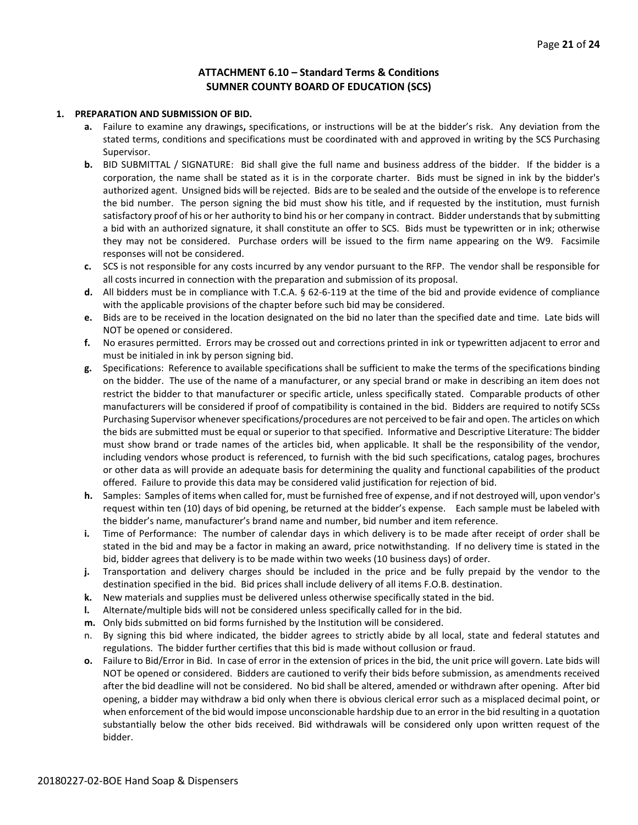#### **ATTACHMENT 6.10 – Standard Terms & Conditions SUMNER COUNTY BOARD OF EDUCATION (SCS)**

#### **1. PREPARATION AND SUBMISSION OF BID.**

- **a.** Failure to examine any drawings**,** specifications, or instructions will be at the bidder's risk. Any deviation from the stated terms, conditions and specifications must be coordinated with and approved in writing by the SCS Purchasing Supervisor.
- **b.** BID SUBMITTAL / SIGNATURE: Bid shall give the full name and business address of the bidder. If the bidder is a corporation, the name shall be stated as it is in the corporate charter. Bids must be signed in ink by the bidder's authorized agent. Unsigned bids will be rejected. Bids are to be sealed and the outside of the envelope is to reference the bid number. The person signing the bid must show his title, and if requested by the institution, must furnish satisfactory proof of his or her authority to bind his or her company in contract. Bidder understands that by submitting a bid with an authorized signature, it shall constitute an offer to SCS. Bids must be typewritten or in ink; otherwise they may not be considered. Purchase orders will be issued to the firm name appearing on the W9. Facsimile responses will not be considered.
- **c.** SCS is not responsible for any costs incurred by any vendor pursuant to the RFP. The vendor shall be responsible for all costs incurred in connection with the preparation and submission of its proposal.
- **d.** All bidders must be in compliance with T.C.A. § 62-6-119 at the time of the bid and provide evidence of compliance with the applicable provisions of the chapter before such bid may be considered.
- **e.** Bids are to be received in the location designated on the bid no later than the specified date and time. Late bids will NOT be opened or considered.
- **f.** No erasures permitted. Errors may be crossed out and corrections printed in ink or typewritten adjacent to error and must be initialed in ink by person signing bid.
- **g.** Specifications: Reference to available specifications shall be sufficient to make the terms of the specifications binding on the bidder. The use of the name of a manufacturer, or any special brand or make in describing an item does not restrict the bidder to that manufacturer or specific article, unless specifically stated. Comparable products of other manufacturers will be considered if proof of compatibility is contained in the bid. Bidders are required to notify SCSs Purchasing Supervisor whenever specifications/procedures are not perceived to be fair and open. The articles on which the bids are submitted must be equal or superior to that specified. Informative and Descriptive Literature: The bidder must show brand or trade names of the articles bid, when applicable. It shall be the responsibility of the vendor, including vendors whose product is referenced, to furnish with the bid such specifications, catalog pages, brochures or other data as will provide an adequate basis for determining the quality and functional capabilities of the product offered. Failure to provide this data may be considered valid justification for rejection of bid.
- **h.** Samples: Samples of items when called for, must be furnished free of expense, and if not destroyed will, upon vendor's request within ten (10) days of bid opening, be returned at the bidder's expense. Each sample must be labeled with the bidder's name, manufacturer's brand name and number, bid number and item reference.
- **i.** Time of Performance: The number of calendar days in which delivery is to be made after receipt of order shall be stated in the bid and may be a factor in making an award, price notwithstanding. If no delivery time is stated in the bid, bidder agrees that delivery is to be made within two weeks (10 business days) of order.
- **j.** Transportation and delivery charges should be included in the price and be fully prepaid by the vendor to the destination specified in the bid. Bid prices shall include delivery of all items F.O.B. destination.
- **k.** New materials and supplies must be delivered unless otherwise specifically stated in the bid.
- **l.** Alternate/multiple bids will not be considered unless specifically called for in the bid.
- **m.** Only bids submitted on bid forms furnished by the Institution will be considered.
- n. By signing this bid where indicated, the bidder agrees to strictly abide by all local, state and federal statutes and regulations. The bidder further certifies that this bid is made without collusion or fraud.
- **o.** Failure to Bid/Error in Bid. In case of error in the extension of prices in the bid, the unit price will govern. Late bids will NOT be opened or considered. Bidders are cautioned to verify their bids before submission, as amendments received after the bid deadline will not be considered. No bid shall be altered, amended or withdrawn after opening. After bid opening, a bidder may withdraw a bid only when there is obvious clerical error such as a misplaced decimal point, or when enforcement of the bid would impose unconscionable hardship due to an error in the bid resulting in a quotation substantially below the other bids received. Bid withdrawals will be considered only upon written request of the bidder.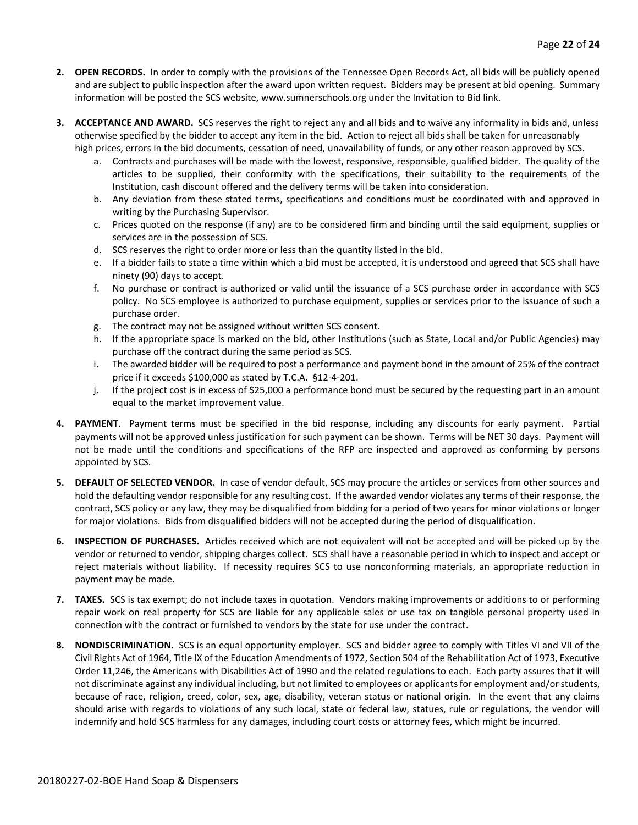- **2. OPEN RECORDS.** In order to comply with the provisions of the Tennessee Open Records Act, all bids will be publicly opened and are subject to public inspection after the award upon written request. Bidders may be present at bid opening. Summary information will be posted the SCS website, www.sumnerschools.org under the Invitation to Bid link.
- **3. ACCEPTANCE AND AWARD.** SCS reserves the right to reject any and all bids and to waive any informality in bids and, unless otherwise specified by the bidder to accept any item in the bid. Action to reject all bids shall be taken for unreasonably high prices, errors in the bid documents, cessation of need, unavailability of funds, or any other reason approved by SCS.
	- a. Contracts and purchases will be made with the lowest, responsive, responsible, qualified bidder. The quality of the articles to be supplied, their conformity with the specifications, their suitability to the requirements of the Institution, cash discount offered and the delivery terms will be taken into consideration.
	- b. Any deviation from these stated terms, specifications and conditions must be coordinated with and approved in writing by the Purchasing Supervisor.
	- c. Prices quoted on the response (if any) are to be considered firm and binding until the said equipment, supplies or services are in the possession of SCS.
	- d. SCS reserves the right to order more or less than the quantity listed in the bid.
	- e. If a bidder fails to state a time within which a bid must be accepted, it is understood and agreed that SCS shall have ninety (90) days to accept.
	- f. No purchase or contract is authorized or valid until the issuance of a SCS purchase order in accordance with SCS policy. No SCS employee is authorized to purchase equipment, supplies or services prior to the issuance of such a purchase order.
	- g. The contract may not be assigned without written SCS consent.
	- h. If the appropriate space is marked on the bid, other Institutions (such as State, Local and/or Public Agencies) may purchase off the contract during the same period as SCS.
	- i. The awarded bidder will be required to post a performance and payment bond in the amount of 25% of the contract price if it exceeds \$100,000 as stated by T.C.A. §12-4-201.
	- j. If the project cost is in excess of \$25,000 a performance bond must be secured by the requesting part in an amount equal to the market improvement value.
- **4. PAYMENT**. Payment terms must be specified in the bid response, including any discounts for early payment. Partial payments will not be approved unless justification for such payment can be shown. Terms will be NET 30 days. Payment will not be made until the conditions and specifications of the RFP are inspected and approved as conforming by persons appointed by SCS.
- **5. DEFAULT OF SELECTED VENDOR.** In case of vendor default, SCS may procure the articles or services from other sources and hold the defaulting vendor responsible for any resulting cost. If the awarded vendor violates any terms of their response, the contract, SCS policy or any law, they may be disqualified from bidding for a period of two years for minor violations or longer for major violations. Bids from disqualified bidders will not be accepted during the period of disqualification.
- **6. INSPECTION OF PURCHASES.** Articles received which are not equivalent will not be accepted and will be picked up by the vendor or returned to vendor, shipping charges collect. SCS shall have a reasonable period in which to inspect and accept or reject materials without liability. If necessity requires SCS to use nonconforming materials, an appropriate reduction in payment may be made.
- **7. TAXES.** SCS is tax exempt; do not include taxes in quotation. Vendors making improvements or additions to or performing repair work on real property for SCS are liable for any applicable sales or use tax on tangible personal property used in connection with the contract or furnished to vendors by the state for use under the contract.
- **8. NONDISCRIMINATION.** SCS is an equal opportunity employer. SCS and bidder agree to comply with Titles VI and VII of the Civil Rights Act of 1964, Title IX of the Education Amendments of 1972, Section 504 of the Rehabilitation Act of 1973, Executive Order 11,246, the Americans with Disabilities Act of 1990 and the related regulations to each. Each party assures that it will not discriminate against any individual including, but not limited to employees or applicants for employment and/or students, because of race, religion, creed, color, sex, age, disability, veteran status or national origin. In the event that any claims should arise with regards to violations of any such local, state or federal law, statues, rule or regulations, the vendor will indemnify and hold SCS harmless for any damages, including court costs or attorney fees, which might be incurred.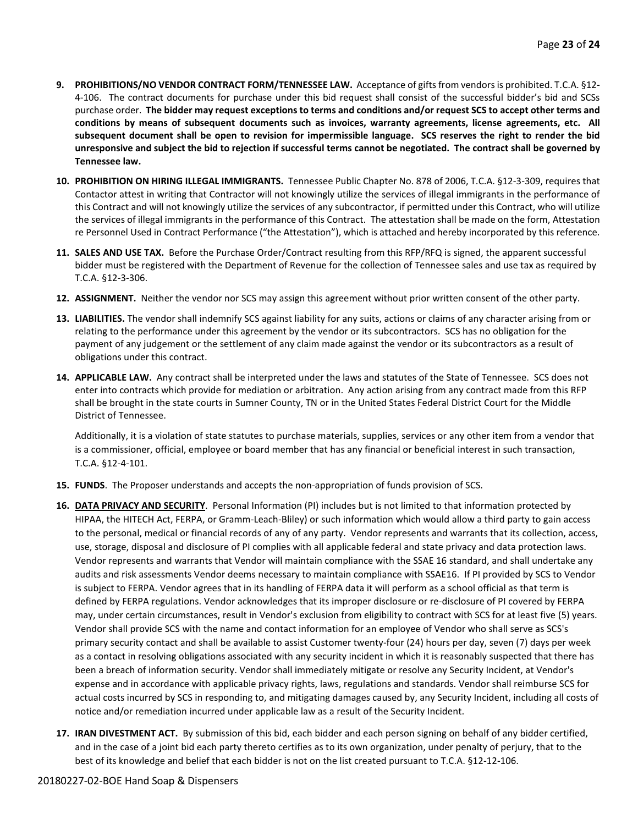- **9. PROHIBITIONS/NO VENDOR CONTRACT FORM/TENNESSEE LAW.** Acceptance of gifts from vendors is prohibited. T.C.A. §12- 4-106. The contract documents for purchase under this bid request shall consist of the successful bidder's bid and SCSs purchase order. **The bidder may request exceptions to terms and conditions and/or request SCS to accept other terms and conditions by means of subsequent documents such as invoices, warranty agreements, license agreements, etc. All subsequent document shall be open to revision for impermissible language. SCS reserves the right to render the bid unresponsive and subject the bid to rejection if successful terms cannot be negotiated. The contract shall be governed by Tennessee law.**
- **10. PROHIBITION ON HIRING ILLEGAL IMMIGRANTS.** Tennessee Public Chapter No. 878 of 2006, T.C.A. §12-3-309, requires that Contactor attest in writing that Contractor will not knowingly utilize the services of illegal immigrants in the performance of this Contract and will not knowingly utilize the services of any subcontractor, if permitted under this Contract, who will utilize the services of illegal immigrants in the performance of this Contract. The attestation shall be made on the form, Attestation re Personnel Used in Contract Performance ("the Attestation"), which is attached and hereby incorporated by this reference.
- **11. SALES AND USE TAX.** Before the Purchase Order/Contract resulting from this RFP/RFQ is signed, the apparent successful bidder must be registered with the Department of Revenue for the collection of Tennessee sales and use tax as required by T.C.A. §12-3-306.
- **12. ASSIGNMENT.** Neither the vendor nor SCS may assign this agreement without prior written consent of the other party.
- **13. LIABILITIES.** The vendor shall indemnify SCS against liability for any suits, actions or claims of any character arising from or relating to the performance under this agreement by the vendor or its subcontractors. SCS has no obligation for the payment of any judgement or the settlement of any claim made against the vendor or its subcontractors as a result of obligations under this contract.
- **14. APPLICABLE LAW.** Any contract shall be interpreted under the laws and statutes of the State of Tennessee. SCS does not enter into contracts which provide for mediation or arbitration. Any action arising from any contract made from this RFP shall be brought in the state courts in Sumner County, TN or in the United States Federal District Court for the Middle District of Tennessee.

Additionally, it is a violation of state statutes to purchase materials, supplies, services or any other item from a vendor that is a commissioner, official, employee or board member that has any financial or beneficial interest in such transaction, T.C.A. §12-4-101.

- **15. FUNDS**. The Proposer understands and accepts the non-appropriation of funds provision of SCS.
- **16. DATA PRIVACY AND SECURITY**. Personal Information (PI) includes but is not limited to that information protected by HIPAA, the HITECH Act, FERPA, or Gramm-Leach-Bliley) or such information which would allow a third party to gain access to the personal, medical or financial records of any of any party. Vendor represents and warrants that its collection, access, use, storage, disposal and disclosure of PI complies with all applicable federal and state privacy and data protection laws. Vendor represents and warrants that Vendor will maintain compliance with the SSAE 16 standard, and shall undertake any audits and risk assessments Vendor deems necessary to maintain compliance with SSAE16. If PI provided by SCS to Vendor is subject to FERPA. Vendor agrees that in its handling of FERPA data it will perform as a school official as that term is defined by FERPA regulations. Vendor acknowledges that its improper disclosure or re-disclosure of PI covered by FERPA may, under certain circumstances, result in Vendor's exclusion from eligibility to contract with SCS for at least five (5) years. Vendor shall provide SCS with the name and contact information for an employee of Vendor who shall serve as SCS's primary security contact and shall be available to assist Customer twenty-four (24) hours per day, seven (7) days per week as a contact in resolving obligations associated with any security incident in which it is reasonably suspected that there has been a breach of information security. Vendor shall immediately mitigate or resolve any Security Incident, at Vendor's expense and in accordance with applicable privacy rights, laws, regulations and standards. Vendor shall reimburse SCS for actual costs incurred by SCS in responding to, and mitigating damages caused by, any Security Incident, including all costs of notice and/or remediation incurred under applicable law as a result of the Security Incident.
- **17. IRAN DIVESTMENT ACT.** By submission of this bid, each bidder and each person signing on behalf of any bidder certified, and in the case of a joint bid each party thereto certifies as to its own organization, under penalty of perjury, that to the best of its knowledge and belief that each bidder is not on the list created pursuant to T.C.A. §12-12-106.